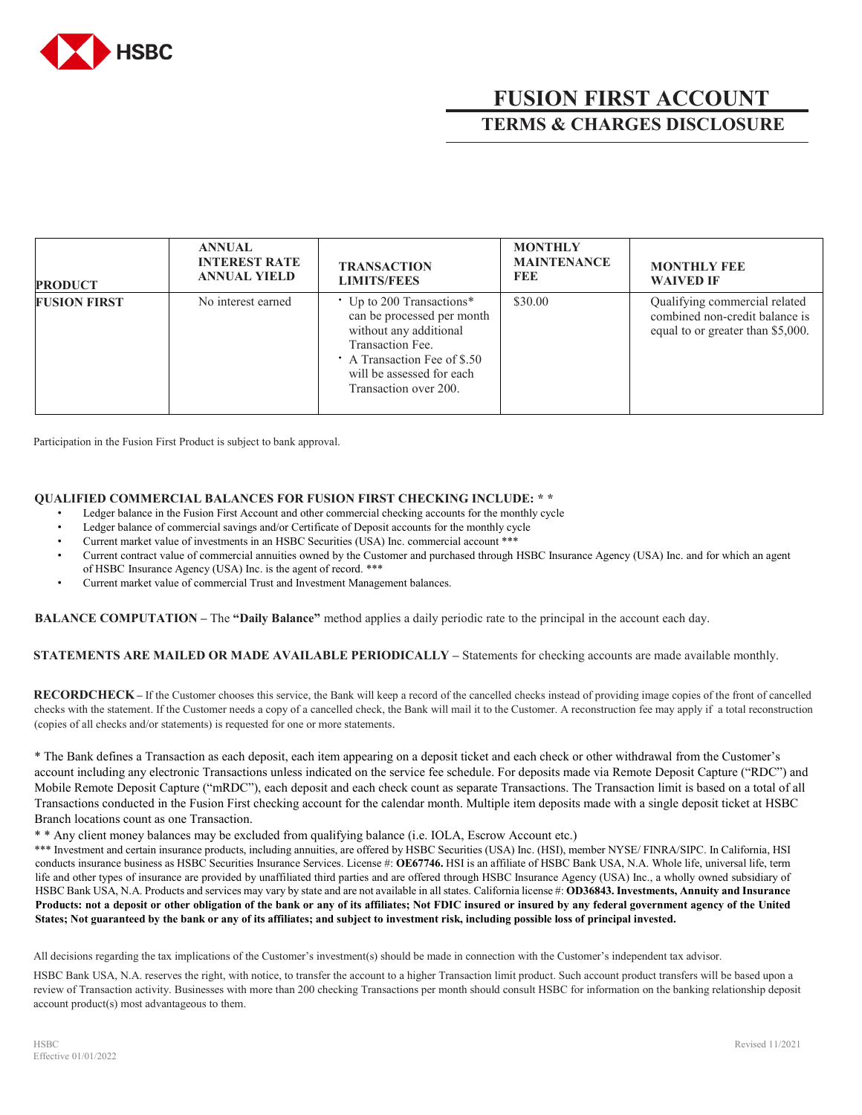

## **FUSION FIRST ACCOUNT TERMS & CHARGES DISCLOSURE**

| <b>PRODUCT</b>      | <b>ANNUAL</b><br><b>INTEREST RATE</b><br><b>ANNUAL YIELD</b> | <b>TRANSACTION</b><br><b>LIMITS/FEES</b>                                                                                                                                                  | <b>MONTHLY</b><br><b>MAINTENANCE</b><br><b>FEE</b> | <b>MONTHLY FEE</b><br><b>WAIVED IF</b>                                                               |
|---------------------|--------------------------------------------------------------|-------------------------------------------------------------------------------------------------------------------------------------------------------------------------------------------|----------------------------------------------------|------------------------------------------------------------------------------------------------------|
| <b>FUSION FIRST</b> | No interest earned                                           | • Up to 200 Transactions*<br>can be processed per month<br>without any additional<br>Transaction Fee.<br>A Transaction Fee of \$.50<br>will be assessed for each<br>Transaction over 200. | \$30.00                                            | Qualifying commercial related<br>combined non-credit balance is<br>equal to or greater than \$5,000. |

Participation in the Fusion First Product is subject to bank approval.

## **QUALIFIED COMMERCIAL BALANCES FOR FUSION FIRST CHECKING INCLUDE: \* \***

- Ledger balance in the Fusion First Account and other commercial checking accounts for the monthly cycle
- Ledger balance of commercial savings and/or Certificate of Deposit accounts for the monthly cycle
- Current market value of investments in an HSBC Securities (USA) Inc. commercial account \*\*\*
- Current contract value of commercial annuities owned by the Customer and purchased through HSBC Insurance Agency (USA) Inc. and for which an agent of HSBC Insurance Agency (USA) Inc. is the agent of record. \*\*\*
- Current market value of commercial Trust and Investment Management balances.

**BALANCE COMPUTATION –** The **"Daily Balance"** method applies a daily periodic rate to the principal in the account each day.

**STATEMENTS ARE MAILED OR MADE AVAILABLE PERIODICALLY –** Statements for checking accounts are made available monthly.

**RECORDCHECK–** If the Customer chooses this service, the Bank will keep a record of the cancelled checks instead of providing image copies of the front of cancelled checks with the statement. If the Customer needs a copy of a cancelled check, the Bank will mail it to the Customer. A reconstruction fee may apply if a total reconstruction (copies of all checks and/or statements) is requested for one or more statements.

\* The Bank defines a Transaction as each deposit, each item appearing on a deposit ticket and each check or other withdrawal from the Customer's account including any electronic Transactions unless indicated on the service fee schedule. For deposits made via Remote Deposit Capture ("RDC") and Mobile Remote Deposit Capture ("mRDC"), each deposit and each check count as separate Transactions. The Transaction limit is based on a total of all Transactions conducted in the Fusion First checking account for the calendar month. Multiple item deposits made with a single deposit ticket at HSBC Branch locations count as one Transaction.

\* \* Any client money balances may be excluded from qualifying balance (i.e. IOLA, Escrow Account etc.)

\*\*\* Investment and certain insurance products, including annuities, are offered by HSBC Securities (USA) Inc. (HSI), member NYSE/ FINRA/SIPC. In California, HSI conducts insurance business as HSBC Securities Insurance Services. License #: **OE67746.** HSI is an affiliate of HSBC Bank USA, N.A. Whole life, universal life, term life and other types of insurance are provided by unaffiliated third parties and are offered through HSBC Insurance Agency (USA) Inc., a wholly owned subsidiary of HSBC Bank USA, N.A. Products and services may vary by state and are not available in all states. California license #: **OD36843. Investments, Annuity and Insurance Products: not a deposit or other obligation of the bank or any of its affiliates; Not FDIC insured or insured by any federal government agency of the United States; Not guaranteed by the bank or any of its affiliates; and subject to investment risk, including possible loss of principal invested.** 

All decisions regarding the tax implications of the Customer's investment(s) should be made in connection with the Customer's independent tax advisor.

HSBC Bank USA, N.A. reserves the right, with notice, to transfer the account to a higher Transaction limit product. Such account product transfers will be based upon a review of Transaction activity. Businesses with more than 200 checking Transactions per month should consult HSBC for information on the banking relationship deposit account product(s) most advantageous to them.